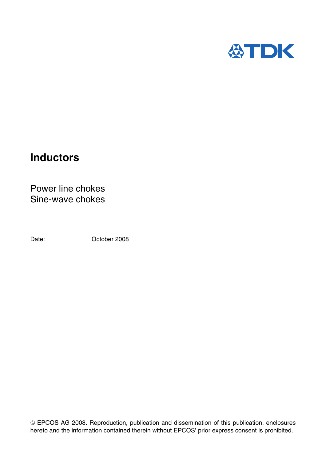

# **Inductors**

Power line chokes Sine-wave chokes

Date: Corober 2008

 EPCOS AG 2008. Reproduction, publication and dissemination of this publication, enclosures hereto and the information contained therein without EPCOS' prior express consent is prohibited.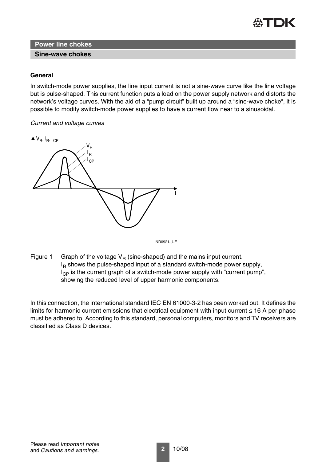

#### **Sine-wave chokes**

#### **General**

In switch-mode power supplies, the line input current is not a sine-wave curve like the line voltage but is pulse-shaped. This current function puts a load on the power supply network and distorts the network's voltage curves. With the aid of a "pump circuit" built up around a "sine-wave choke", it is possible to modify switch-mode power supplies to have a current flow near to a sinusoidal.

#### *Current and voltage curves*



IND0921-U-E

Figure 1 Graph of the voltage  $V_R$  (sine-shaped) and the mains input current.  $I<sub>B</sub>$  shows the pulse-shaped input of a standard switch-mode power supply,  $I_{CP}$  is the current graph of a switch-mode power supply with "current pump", showing the reduced level of upper harmonic components.

In this connection, the international standard IEC EN 61000-3-2 has been worked out. It defines the limits for harmonic current emissions that electrical equipment with input current  $\leq 16$  A per phase must be adhered to. According to this standard, personal computers, monitors and TV receivers are classified as Class D devices.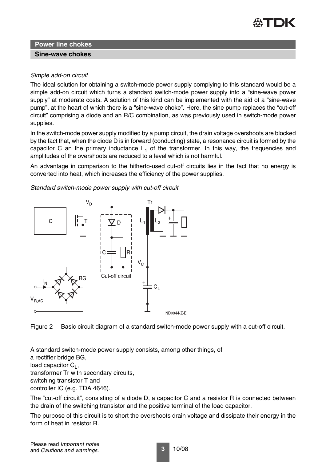

#### **Sine-wave chokes**

#### *Simple add-on circuit*

The ideal solution for obtaining a switch-mode power supply complying to this standard would be a simple add-on circuit which turns a standard switch-mode power supply into a "sine-wave power supply" at moderate costs. A solution of this kind can be implemented with the aid of a "sine-wave pump", at the heart of which there is a "sine-wave choke". Here, the sine pump replaces the "cut-off circuit" comprising a diode and an R/C combination, as was previously used in switch-mode power supplies.

In the switch-mode power supply modified by a pump circuit, the drain voltage overshoots are blocked by the fact that, when the diode D is in forward (conducting) state, a resonance circuit is formed by the capacitor C an the primary inductance  $L_1$  of the transformer. In this way, the frequencies and amplitudes of the overshoots are reduced to a level which is not harmful.

An advantage in comparison to the hitherto-used cut-off circuits lies in the fact that no energy is converted into heat, which increases the efficiency of the power supplies.

*Standard switch-mode power supply with cut-off circuit*



Figure 2 Basic circuit diagram of a standard switch-mode power supply with a cut-off circuit.

A standard switch-mode power supply consists, among other things, of a rectifier bridge BG, load capacitor  $C_1$ , transformer Tr with secondary circuits, switching transistor T and controller IC (e.g. TDA 4646).

The "cut-off circuit", consisting of a diode D, a capacitor C and a resistor R is connected between the drain of the switching transistor and the positive terminal of the load capacitor.

The purpose of this circuit is to short the overshoots drain voltage and dissipate their energy in the form of heat in resistor R.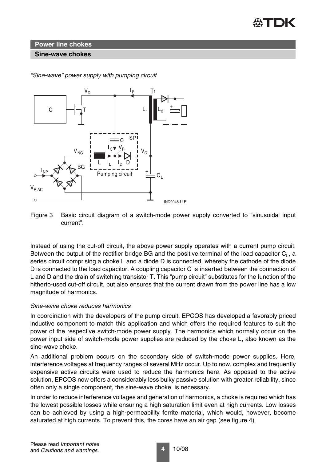

#### **Sine-wave chokes**



*"Sine-wave" power supply with pumping circuit*

Instead of using the cut-off circuit, the above power supply operates with a current pump circuit. Between the output of the rectifier bridge BG and the positive terminal of the load capacitor  $C<sub>1</sub>$ , a series circuit comprising a choke L and a diode D is connected, whereby the cathode of the diode D is connected to the load capacitor. A coupling capacitor C is inserted between the connection of L and D and the drain of switching transistor T. This "pump circuit" substitutes for the function of the hitherto-used cut-off circuit, but also ensures that the current drawn from the power line has a low magnitude of harmonics.

#### *Sine-wave choke reduces harmonics*

In coordination with the developers of the pump circuit, EPCOS has developed a favorably priced inductive component to match this application and which offers the required features to suit the power of the respective switch-mode power supply. The harmonics which normally occur on the power input side of switch-mode power supplies are reduced by the choke L, also known as the sine-wave choke.

An additional problem occurs on the secondary side of switch-mode power supplies. Here, interference voltages at frequency ranges of several MHz occur. Up to now, complex and frequently expensive active circuits were used to reduce the harmonics here. As opposed to the active solution, EPCOS now offers a considerably less bulky passive solution with greater reliability, since often only a single component, the sine-wave choke, is necessary.

In order to reduce interference voltages and generation of harmonics, a choke is required which has the lowest possible losses while ensuring a high saturation limit even at high currents. Low losses can be achieved by using a high-permeability ferrite material, which would, however, become saturated at high currents. To prevent this, the cores have an air gap (see figure 4).

Figure 3 Basic circuit diagram of a switch-mode power supply converted to "sinusoidal input current".